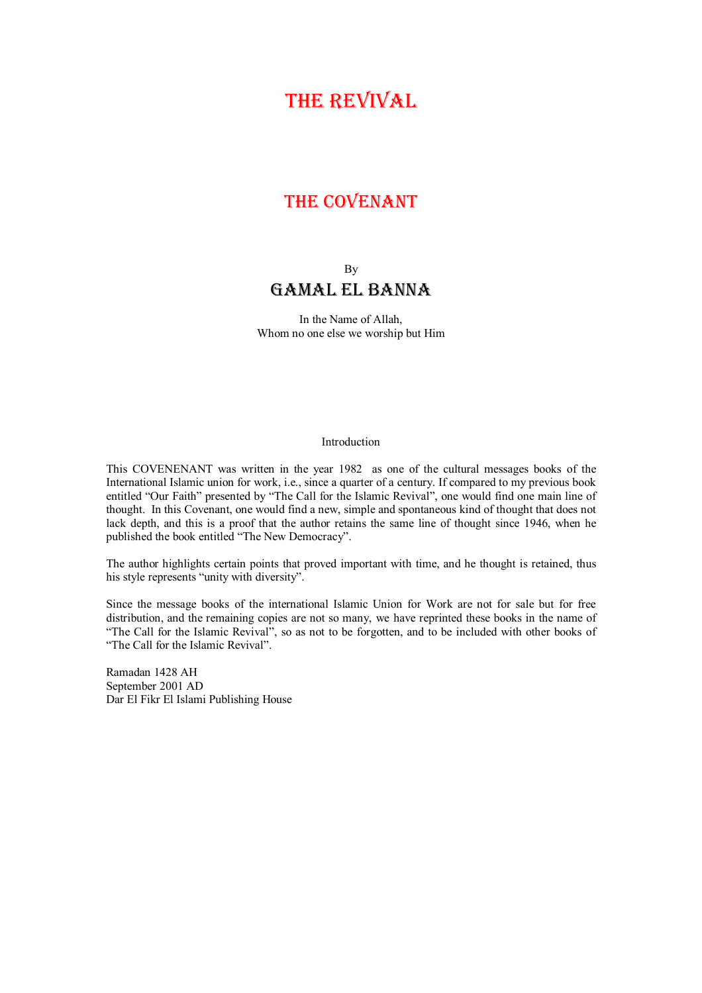# THE REVIVAL

## THE COVENANT

### By Gamal el Banna

In the Name of Allah, Whom no one else we worship but Him

#### Introduction

This COVENENANT was written in the year 1982 as one of the cultural messages books of the International Islamic union for work, i.e., since a quarter of a century. If compared to my previous book entitled "Our Faith" presented by "The Call for the Islamic Revival", one would find one main line of thought. In this Covenant, one would find a new, simple and spontaneous kind of thought that does not lack depth, and this is a proof that the author retains the same line of thought since 1946, when he published the book entitled "The New Democracy".

The author highlights certain points that proved important with time, and he thought is retained, thus his style represents "unity with diversity".

Since the message books of the international Islamic Union for Work are not for sale but for free distribution, and the remaining copies are not so many, we have reprinted these books in the name of "The Call for the Islamic Revival", so as not to be forgotten, and to be included with other books of "The Call for the Islamic Revival".

Ramadan 1428 AH September 2001 AD Dar El Fikr El Islami Publishing House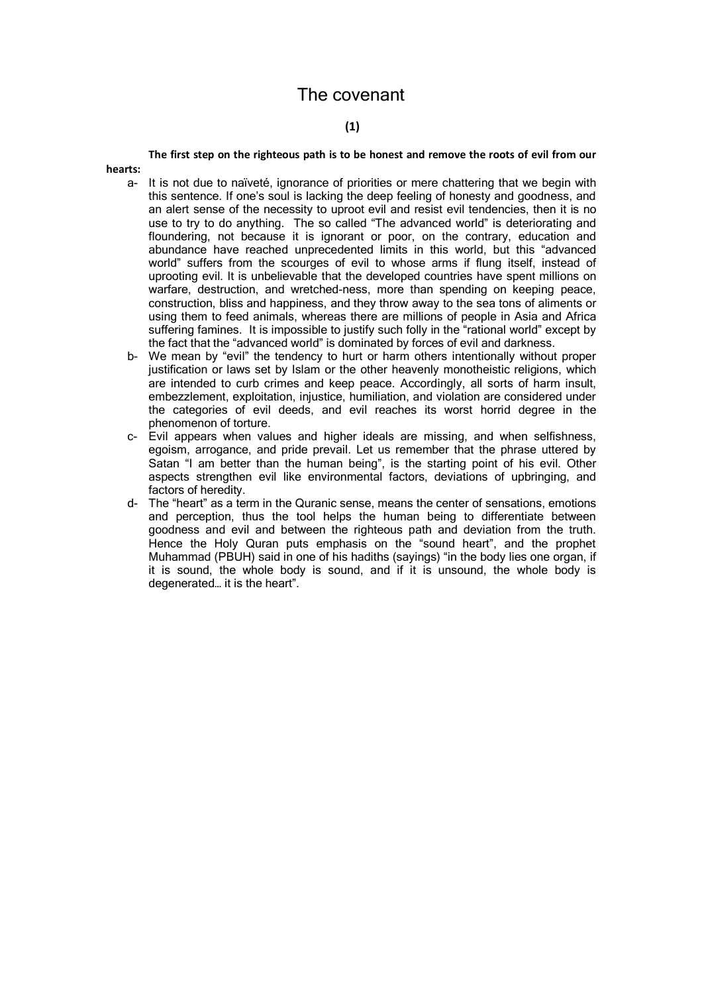### The covenant

### **(1)**

**The first step on the righteous path is to be honest and remove the roots of evil from our hearts:** 

- a- It is not due to naïveté, ignorance of priorities or mere chattering that we begin with this sentence. If one's soul is lacking the deep feeling of honesty and goodness, and an alert sense of the necessity to uproot evil and resist evil tendencies, then it is no use to try to do anything. The so called "The advanced world" is deteriorating and floundering, not because it is ignorant or poor, on the contrary, education and abundance have reached unprecedented limits in this world, but this "advanced world" suffers from the scourges of evil to whose arms if flung itself, instead of uprooting evil. It is unbelievable that the developed countries have spent millions on warfare, destruction, and wretched-ness, more than spending on keeping peace, construction, bliss and happiness, and they throw away to the sea tons of aliments or using them to feed animals, whereas there are millions of people in Asia and Africa suffering famines. It is impossible to justify such folly in the "rational world" except by the fact that the "advanced world" is dominated by forces of evil and darkness.
- b- We mean by "evil" the tendency to hurt or harm others intentionally without proper justification or laws set by Islam or the other heavenly monotheistic religions, which are intended to curb crimes and keep peace. Accordingly, all sorts of harm insult, embezzlement, exploitation, injustice, humiliation, and violation are considered under the categories of evil deeds, and evil reaches its worst horrid degree in the phenomenon of torture.
- c- Evil appears when values and higher ideals are missing, and when selfishness, egoism, arrogance, and pride prevail. Let us remember that the phrase uttered by Satan "I am better than the human being", is the starting point of his evil. Other aspects strengthen evil like environmental factors, deviations of upbringing, and factors of heredity.
- d- The "heart" as a term in the Quranic sense, means the center of sensations, emotions and perception, thus the tool helps the human being to differentiate between goodness and evil and between the righteous path and deviation from the truth. Hence the Holy Quran puts emphasis on the "sound heart", and the prophet Muhammad (PBUH) said in one of his hadiths (sayings) "in the body lies one organ, if it is sound, the whole body is sound, and if it is unsound, the whole body is degenerated… it is the heart".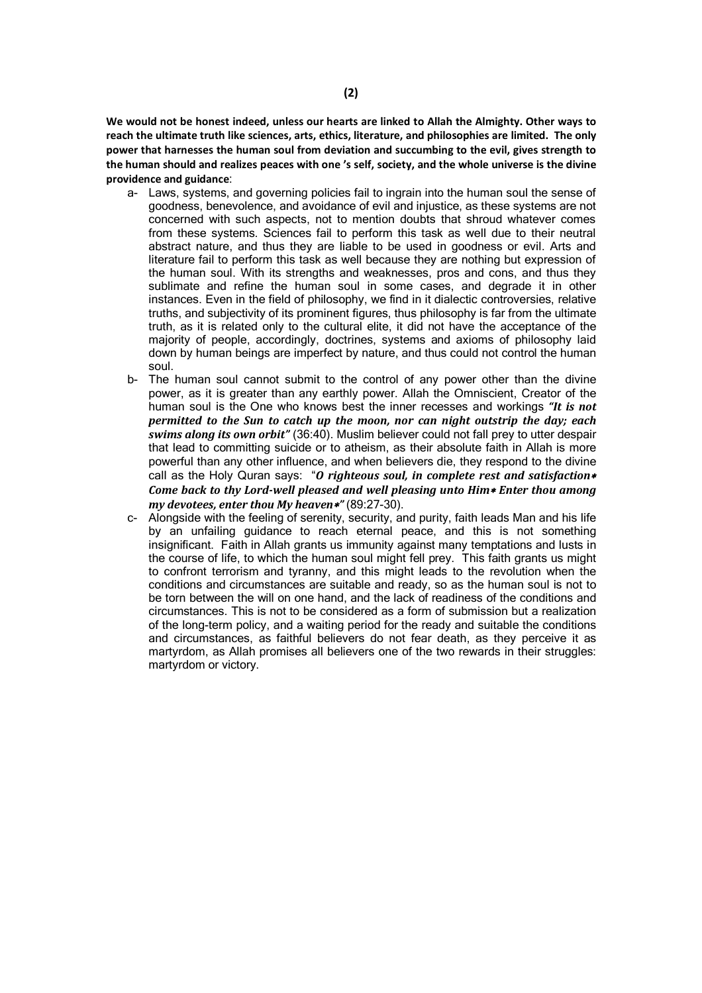**We would not be honest indeed, unless our hearts are linked to Allah the Almighty. Other ways to reach the ultimate truth like sciences, arts, ethics, literature, and philosophies are limited. The only power that harnesses the human soul from deviation and succumbing to the evil, gives strength to the human should and realizes peaces with one 's self, society, and the whole universe is the divine providence and guidance**:

- a- Laws, systems, and governing policies fail to ingrain into the human soul the sense of goodness, benevolence, and avoidance of evil and injustice, as these systems are not concerned with such aspects, not to mention doubts that shroud whatever comes from these systems. Sciences fail to perform this task as well due to their neutral abstract nature, and thus they are liable to be used in goodness or evil. Arts and literature fail to perform this task as well because they are nothing but expression of the human soul. With its strengths and weaknesses, pros and cons, and thus they sublimate and refine the human soul in some cases, and degrade it in other instances. Even in the field of philosophy, we find in it dialectic controversies, relative truths, and subjectivity of its prominent figures, thus philosophy is far from the ultimate truth, as it is related only to the cultural elite, it did not have the acceptance of the majority of people, accordingly, doctrines, systems and axioms of philosophy laid down by human beings are imperfect by nature, and thus could not control the human soul.
- b- The human soul cannot submit to the control of any power other than the divine power, as it is greater than any earthly power. Allah the Omniscient, Creator of the human soul is the One who knows best the inner recesses and workings *"It is not permitted to the Sun to catch up the moon, nor can night outstrip the day; each swims along its own orbit"* (36:40). Muslim believer could not fall prey to utter despair that lead to committing suicide or to atheism, as their absolute faith in Allah is more powerful than any other influence, and when believers die, they respond to the divine call as the Holy Quran says: "*O righteous soul, in complete rest and satisfaction Come back to thy Lord-well pleased and well pleasing unto Him*<sup>\*</sup> *Enter thou among my devotees, enter thou My heaven"* (89:27-30).
- c- Alongside with the feeling of serenity, security, and purity, faith leads Man and his life by an unfailing guidance to reach eternal peace, and this is not something insignificant. Faith in Allah grants us immunity against many temptations and lusts in the course of life, to which the human soul might fell prey. This faith grants us might to confront terrorism and tyranny, and this might leads to the revolution when the conditions and circumstances are suitable and ready, so as the human soul is not to be torn between the will on one hand, and the lack of readiness of the conditions and circumstances. This is not to be considered as a form of submission but a realization of the long-term policy, and a waiting period for the ready and suitable the conditions and circumstances, as faithful believers do not fear death, as they perceive it as martyrdom, as Allah promises all believers one of the two rewards in their struggles: martyrdom or victory.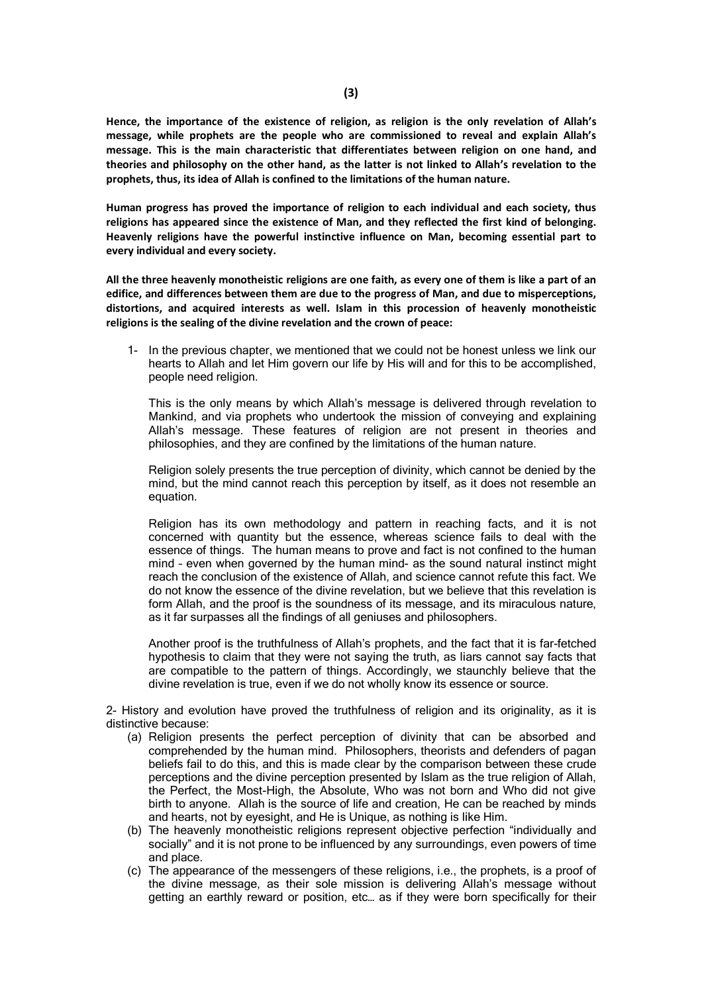**Hence, the importance of the existence of religion, as religion is the only revelation of Allah's message, while prophets are the people who are commissioned to reveal and explain Allah's message. This is the main characteristic that differentiates between religion on one hand, and theories and philosophy on the other hand, as the latter is not linked to Allah's revelation to the prophets, thus, its idea of Allah is confined to the limitations of the human nature.** 

**Human progress has proved the importance of religion to each individual and each society, thus religions has appeared since the existence of Man, and they reflected the first kind of belonging. Heavenly religions have the powerful instinctive influence on Man, becoming essential part to every individual and every society.**

**All the three heavenly monotheistic religions are one faith, as every one of them is like a part of an edifice, and differences between them are due to the progress of Man, and due to misperceptions, distortions, and acquired interests as well. Islam in this procession of heavenly monotheistic religions is the sealing of the divine revelation and the crown of peace:**

1- In the previous chapter, we mentioned that we could not be honest unless we link our hearts to Allah and let Him govern our life by His will and for this to be accomplished, people need religion.

This is the only means by which Allah's message is delivered through revelation to Mankind, and via prophets who undertook the mission of conveying and explaining Allah's message. These features of religion are not present in theories and philosophies, and they are confined by the limitations of the human nature.

Religion solely presents the true perception of divinity, which cannot be denied by the mind, but the mind cannot reach this perception by itself, as it does not resemble an equation.

Religion has its own methodology and pattern in reaching facts, and it is not concerned with quantity but the essence, whereas science fails to deal with the essence of things. The human means to prove and fact is not confined to the human mind – even when governed by the human mind- as the sound natural instinct might reach the conclusion of the existence of Allah, and science cannot refute this fact. We do not know the essence of the divine revelation, but we believe that this revelation is form Allah, and the proof is the soundness of its message, and its miraculous nature, as it far surpasses all the findings of all geniuses and philosophers.

Another proof is the truthfulness of Allah's prophets, and the fact that it is far-fetched hypothesis to claim that they were not saying the truth, as liars cannot say facts that are compatible to the pattern of things. Accordingly, we staunchly believe that the divine revelation is true, even if we do not wholly know its essence or source.

2- History and evolution have proved the truthfulness of religion and its originality, as it is distinctive because:

- (a) Religion presents the perfect perception of divinity that can be absorbed and comprehended by the human mind. Philosophers, theorists and defenders of pagan beliefs fail to do this, and this is made clear by the comparison between these crude perceptions and the divine perception presented by Islam as the true religion of Allah, the Perfect, the Most-High, the Absolute, Who was not born and Who did not give birth to anyone. Allah is the source of life and creation, He can be reached by minds and hearts, not by eyesight, and He is Unique, as nothing is like Him.
- (b) The heavenly monotheistic religions represent objective perfection "individually and socially" and it is not prone to be influenced by any surroundings, even powers of time and place.
- (c) The appearance of the messengers of these religions, i.e., the prophets, is a proof of the divine message, as their sole mission is delivering Allah's message without getting an earthly reward or position, etc… as if they were born specifically for their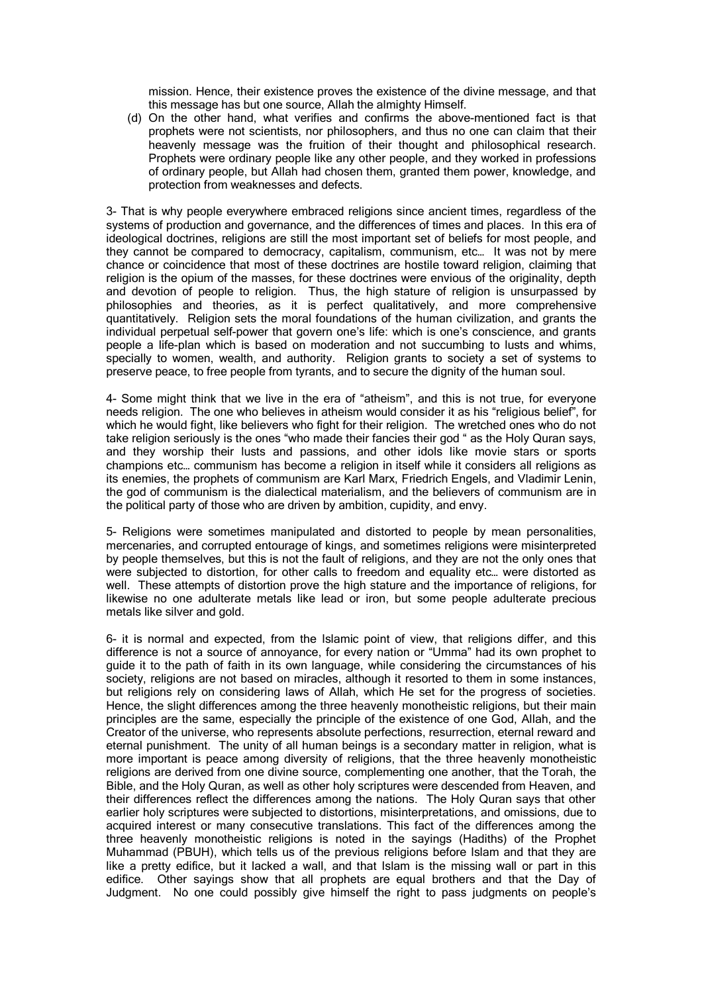mission. Hence, their existence proves the existence of the divine message, and that this message has but one source, Allah the almighty Himself.

(d) On the other hand, what verifies and confirms the above-mentioned fact is that prophets were not scientists, nor philosophers, and thus no one can claim that their heavenly message was the fruition of their thought and philosophical research. Prophets were ordinary people like any other people, and they worked in professions of ordinary people, but Allah had chosen them, granted them power, knowledge, and protection from weaknesses and defects.

3- That is why people everywhere embraced religions since ancient times, regardless of the systems of production and governance, and the differences of times and places. In this era of ideological doctrines, religions are still the most important set of beliefs for most people, and they cannot be compared to democracy, capitalism, communism, etc… It was not by mere chance or coincidence that most of these doctrines are hostile toward religion, claiming that religion is the opium of the masses, for these doctrines were envious of the originality, depth and devotion of people to religion. Thus, the high stature of religion is unsurpassed by philosophies and theories, as it is perfect qualitatively, and more comprehensive quantitatively. Religion sets the moral foundations of the human civilization, and grants the individual perpetual self-power that govern one's life: which is one's conscience, and grants people a life-plan which is based on moderation and not succumbing to lusts and whims, specially to women, wealth, and authority. Religion grants to society a set of systems to preserve peace, to free people from tyrants, and to secure the dignity of the human soul.

4- Some might think that we live in the era of "atheism", and this is not true, for everyone needs religion. The one who believes in atheism would consider it as his "religious belief", for which he would fight, like believers who fight for their religion. The wretched ones who do not take religion seriously is the ones "who made their fancies their god " as the Holy Quran says, and they worship their lusts and passions, and other idols like movie stars or sports champions etc… communism has become a religion in itself while it considers all religions as its enemies, the prophets of communism are Karl Marx, Friedrich Engels, and Vladimir Lenin, the god of communism is the dialectical materialism, and the believers of communism are in the political party of those who are driven by ambition, cupidity, and envy.

5- Religions were sometimes manipulated and distorted to people by mean personalities, mercenaries, and corrupted entourage of kings, and sometimes religions were misinterpreted by people themselves, but this is not the fault of religions, and they are not the only ones that were subjected to distortion, for other calls to freedom and equality etc… were distorted as well. These attempts of distortion prove the high stature and the importance of religions, for likewise no one adulterate metals like lead or iron, but some people adulterate precious metals like silver and gold.

6- it is normal and expected, from the Islamic point of view, that religions differ, and this difference is not a source of annoyance, for every nation or "Umma" had its own prophet to guide it to the path of faith in its own language, while considering the circumstances of his society, religions are not based on miracles, although it resorted to them in some instances, but religions rely on considering laws of Allah, which He set for the progress of societies. Hence, the slight differences among the three heavenly monotheistic religions, but their main principles are the same, especially the principle of the existence of one God, Allah, and the Creator of the universe, who represents absolute perfections, resurrection, eternal reward and eternal punishment. The unity of all human beings is a secondary matter in religion, what is more important is peace among diversity of religions, that the three heavenly monotheistic religions are derived from one divine source, complementing one another, that the Torah, the Bible, and the Holy Quran, as well as other holy scriptures were descended from Heaven, and their differences reflect the differences among the nations. The Holy Quran says that other earlier holy scriptures were subjected to distortions, misinterpretations, and omissions, due to acquired interest or many consecutive translations. This fact of the differences among the three heavenly monotheistic religions is noted in the sayings (Hadiths) of the Prophet Muhammad (PBUH), which tells us of the previous religions before Islam and that they are like a pretty edifice, but it lacked a wall, and that Islam is the missing wall or part in this edifice. Other sayings show that all prophets are equal brothers and that the Day of Judgment. No one could possibly give himself the right to pass judgments on people's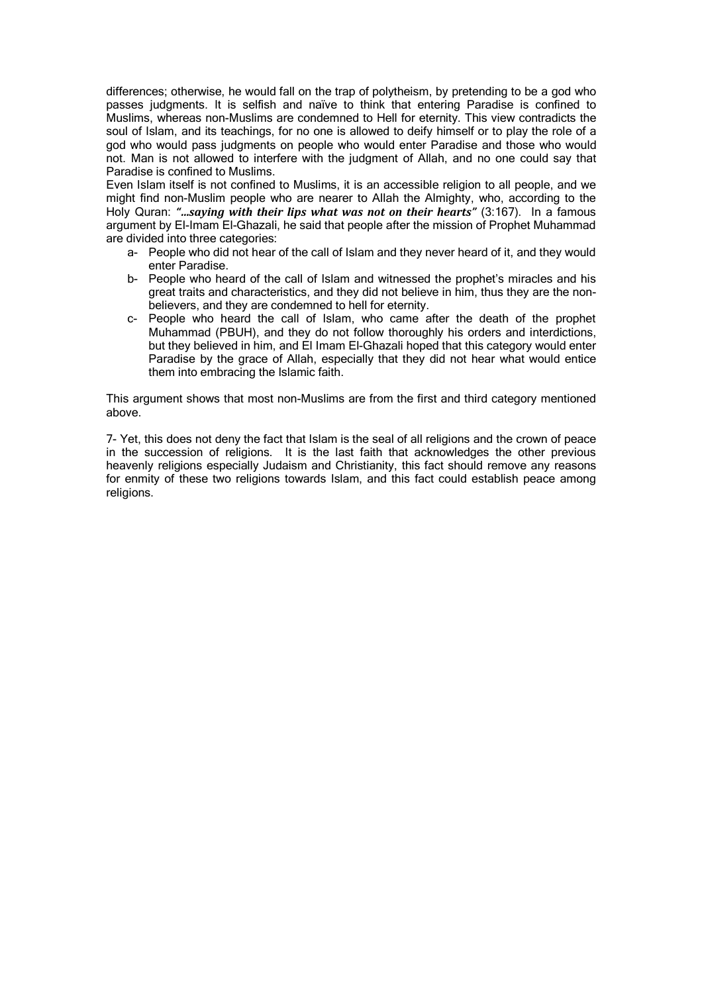differences; otherwise, he would fall on the trap of polytheism, by pretending to be a god who passes judgments. It is selfish and naïve to think that entering Paradise is confined to Muslims, whereas non-Muslims are condemned to Hell for eternity. This view contradicts the soul of Islam, and its teachings, for no one is allowed to deify himself or to play the role of a god who would pass judgments on people who would enter Paradise and those who would not. Man is not allowed to interfere with the judgment of Allah, and no one could say that Paradise is confined to Muslims.

Even Islam itself is not confined to Muslims, it is an accessible religion to all people, and we might find non-Muslim people who are nearer to Allah the Almighty, who, according to the Holy Quran: *"…saying with their lips what was not on their hearts"* (3:167). In a famous argument by El-Imam El-Ghazali, he said that people after the mission of Prophet Muhammad are divided into three categories:

- a- People who did not hear of the call of Islam and they never heard of it, and they would enter Paradise.
- b- People who heard of the call of Islam and witnessed the prophet's miracles and his great traits and characteristics, and they did not believe in him, thus they are the nonbelievers, and they are condemned to hell for eternity.
- c- People who heard the call of Islam, who came after the death of the prophet Muhammad (PBUH), and they do not follow thoroughly his orders and interdictions, but they believed in him, and El Imam El-Ghazali hoped that this category would enter Paradise by the grace of Allah, especially that they did not hear what would entice them into embracing the Islamic faith.

This argument shows that most non-Muslims are from the first and third category mentioned above.

7- Yet, this does not deny the fact that Islam is the seal of all religions and the crown of peace in the succession of religions. It is the last faith that acknowledges the other previous heavenly religions especially Judaism and Christianity, this fact should remove any reasons for enmity of these two religions towards Islam, and this fact could establish peace among religions.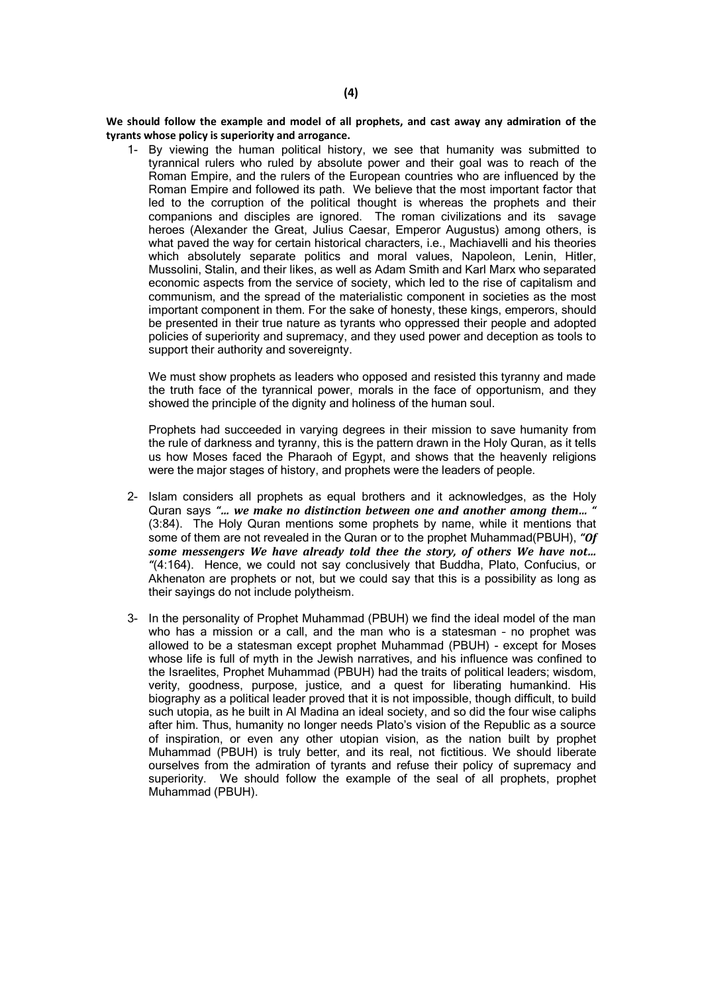**We should follow the example and model of all prophets, and cast away any admiration of the tyrants whose policy is superiority and arrogance.**

1- By viewing the human political history, we see that humanity was submitted to tyrannical rulers who ruled by absolute power and their goal was to reach of the Roman Empire, and the rulers of the European countries who are influenced by the Roman Empire and followed its path. We believe that the most important factor that led to the corruption of the political thought is whereas the prophets and their companions and disciples are ignored. The roman civilizations and its savage heroes (Alexander the Great, Julius Caesar, Emperor Augustus) among others, is what paved the way for certain historical characters, i.e., Machiavelli and his theories which absolutely separate politics and moral values, Napoleon, Lenin, Hitler, Mussolini, Stalin, and their likes, as well as Adam Smith and Karl Marx who separated economic aspects from the service of society, which led to the rise of capitalism and communism, and the spread of the materialistic component in societies as the most important component in them. For the sake of honesty, these kings, emperors, should be presented in their true nature as tyrants who oppressed their people and adopted policies of superiority and supremacy, and they used power and deception as tools to support their authority and sovereignty.

We must show prophets as leaders who opposed and resisted this tyranny and made the truth face of the tyrannical power, morals in the face of opportunism, and they showed the principle of the dignity and holiness of the human soul.

Prophets had succeeded in varying degrees in their mission to save humanity from the rule of darkness and tyranny, this is the pattern drawn in the Holy Quran, as it tells us how Moses faced the Pharaoh of Egypt, and shows that the heavenly religions were the major stages of history, and prophets were the leaders of people.

- 2- Islam considers all prophets as equal brothers and it acknowledges, as the Holy Quran says *"… we make no distinction between one and another among them… "* (3:84). The Holy Quran mentions some prophets by name, while it mentions that some of them are not revealed in the Quran or to the prophet Muhammad(PBUH), *"Of some messengers We have already told thee the story, of others We have not… "*(4:164). Hence, we could not say conclusively that Buddha, Plato, Confucius, or Akhenaton are prophets or not, but we could say that this is a possibility as long as their sayings do not include polytheism.
- 3- In the personality of Prophet Muhammad (PBUH) we find the ideal model of the man who has a mission or a call, and the man who is a statesman – no prophet was allowed to be a statesman except prophet Muhammad (PBUH) - except for Moses whose life is full of myth in the Jewish narratives, and his influence was confined to the Israelites, Prophet Muhammad (PBUH) had the traits of political leaders; wisdom, verity, goodness, purpose, justice, and a quest for liberating humankind. His biography as a political leader proved that it is not impossible, though difficult, to build such utopia, as he built in Al Madina an ideal society, and so did the four wise caliphs after him. Thus, humanity no longer needs Plato's vision of the Republic as a source of inspiration, or even any other utopian vision, as the nation built by prophet Muhammad (PBUH) is truly better, and its real, not fictitious. We should liberate ourselves from the admiration of tyrants and refuse their policy of supremacy and superiority. We should follow the example of the seal of all prophets, prophet Muhammad (PBUH).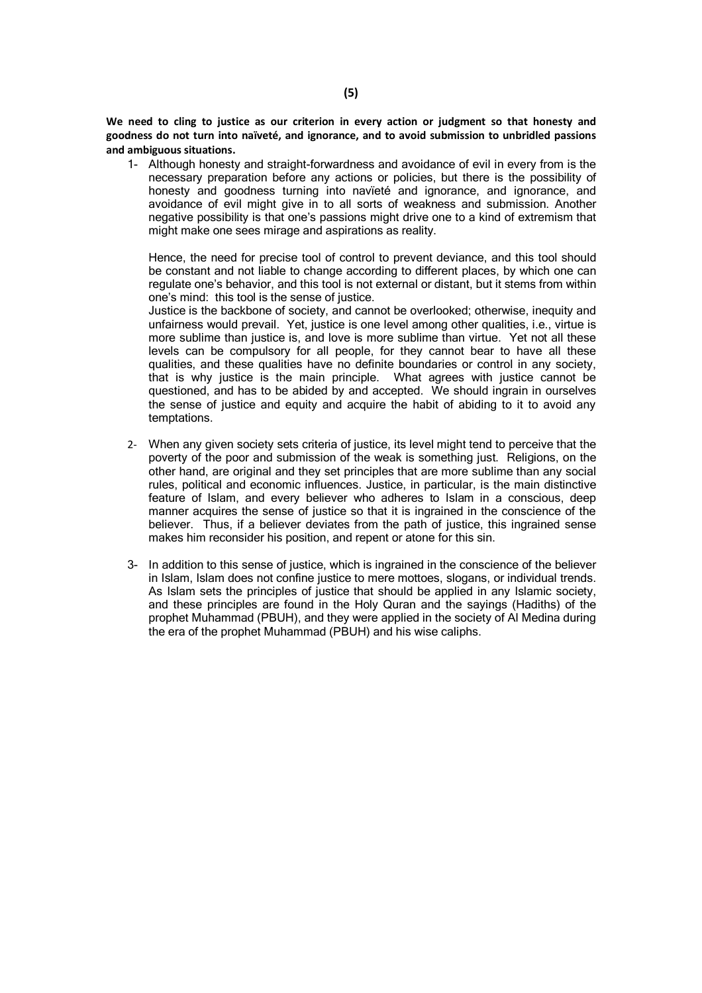**We need to cling to justice as our criterion in every action or judgment so that honesty and goodness do not turn into naïveté, and ignorance, and to avoid submission to unbridled passions and ambiguous situations.**

1- Although honesty and straight-forwardness and avoidance of evil in every from is the necessary preparation before any actions or policies, but there is the possibility of honesty and goodness turning into naviete and ignorance, and ignorance, and avoidance of evil might give in to all sorts of weakness and submission. Another negative possibility is that one's passions might drive one to a kind of extremism that might make one sees mirage and aspirations as reality.

Hence, the need for precise tool of control to prevent deviance, and this tool should be constant and not liable to change according to different places, by which one can regulate one's behavior, and this tool is not external or distant, but it stems from within one's mind: this tool is the sense of justice.

Justice is the backbone of society, and cannot be overlooked; otherwise, inequity and unfairness would prevail. Yet, justice is one level among other qualities, i.e., virtue is more sublime than justice is, and love is more sublime than virtue. Yet not all these levels can be compulsory for all people, for they cannot bear to have all these qualities, and these qualities have no definite boundaries or control in any society, that is why justice is the main principle. What agrees with justice cannot be questioned, and has to be abided by and accepted. We should ingrain in ourselves the sense of justice and equity and acquire the habit of abiding to it to avoid any temptations.

- 2- When any given society sets criteria of justice, its level might tend to perceive that the poverty of the poor and submission of the weak is something just. Religions, on the other hand, are original and they set principles that are more sublime than any social rules, political and economic influences. Justice, in particular, is the main distinctive feature of Islam, and every believer who adheres to Islam in a conscious, deep manner acquires the sense of justice so that it is ingrained in the conscience of the believer. Thus, if a believer deviates from the path of justice, this ingrained sense makes him reconsider his position, and repent or atone for this sin.
- 3- In addition to this sense of justice, which is ingrained in the conscience of the believer in Islam, Islam does not confine justice to mere mottoes, slogans, or individual trends. As Islam sets the principles of justice that should be applied in any Islamic society, and these principles are found in the Holy Quran and the sayings (Hadiths) of the prophet Muhammad (PBUH), and they were applied in the society of Al Medina during the era of the prophet Muhammad (PBUH) and his wise caliphs.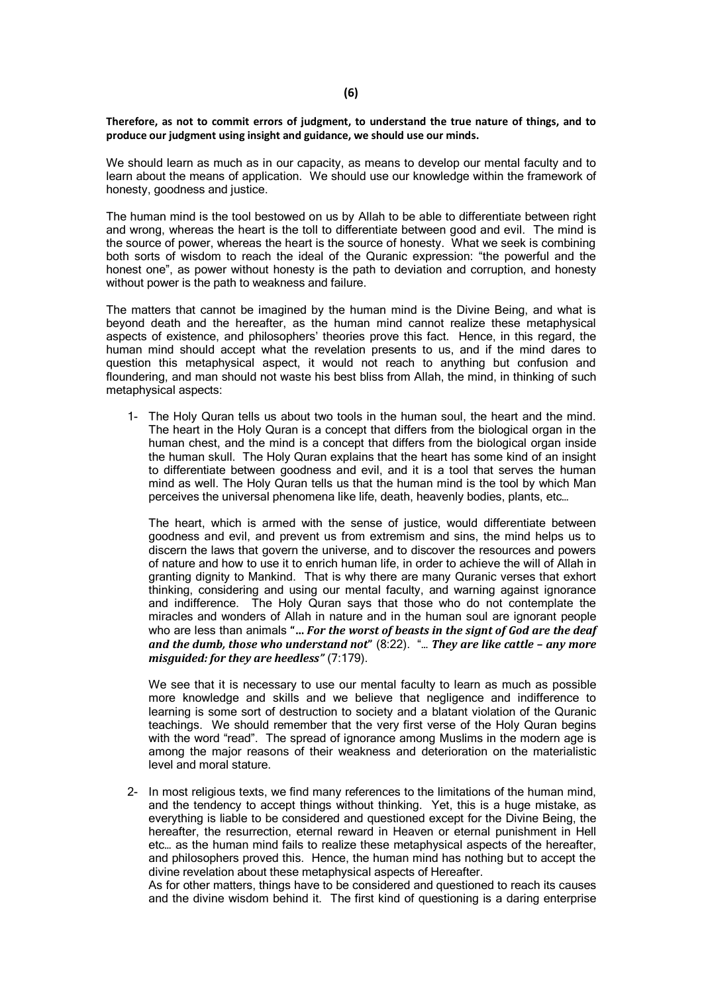#### **Therefore, as not to commit errors of judgment, to understand the true nature of things, and to produce our judgment using insight and guidance, we should use our minds.**

We should learn as much as in our capacity, as means to develop our mental faculty and to learn about the means of application. We should use our knowledge within the framework of honesty, goodness and justice.

The human mind is the tool bestowed on us by Allah to be able to differentiate between right and wrong, whereas the heart is the toll to differentiate between good and evil. The mind is the source of power, whereas the heart is the source of honesty. What we seek is combining both sorts of wisdom to reach the ideal of the Quranic expression: "the powerful and the honest one", as power without honesty is the path to deviation and corruption, and honesty without power is the path to weakness and failure.

The matters that cannot be imagined by the human mind is the Divine Being, and what is beyond death and the hereafter, as the human mind cannot realize these metaphysical aspects of existence, and philosophers' theories prove this fact. Hence, in this regard, the human mind should accept what the revelation presents to us, and if the mind dares to question this metaphysical aspect, it would not reach to anything but confusion and floundering, and man should not waste his best bliss from Allah, the mind, in thinking of such metaphysical aspects:

1- The Holy Quran tells us about two tools in the human soul, the heart and the mind. The heart in the Holy Quran is a concept that differs from the biological organ in the human chest, and the mind is a concept that differs from the biological organ inside the human skull. The Holy Quran explains that the heart has some kind of an insight to differentiate between goodness and evil, and it is a tool that serves the human mind as well. The Holy Quran tells us that the human mind is the tool by which Man perceives the universal phenomena like life, death, heavenly bodies, plants, etc…

The heart, which is armed with the sense of justice, would differentiate between goodness and evil, and prevent us from extremism and sins, the mind helps us to discern the laws that govern the universe, and to discover the resources and powers of nature and how to use it to enrich human life, in order to achieve the will of Allah in granting dignity to Mankind. That is why there are many Quranic verses that exhort thinking, considering and using our mental faculty, and warning against ignorance and indifference. The Holy Quran says that those who do not contemplate the miracles and wonders of Allah in nature and in the human soul are ignorant people who are less than animals **"…** *For the worst of beasts in the signt of God are the deaf and the dumb, those who understand not***"** (8:22). "… *They are like cattle – any more misguided: for they are heedless"* (7:179).

We see that it is necessary to use our mental faculty to learn as much as possible more knowledge and skills and we believe that negligence and indifference to learning is some sort of destruction to society and a blatant violation of the Quranic teachings. We should remember that the very first verse of the Holy Quran begins with the word "read". The spread of ignorance among Muslims in the modern age is among the major reasons of their weakness and deterioration on the materialistic level and moral stature.

2- In most religious texts, we find many references to the limitations of the human mind, and the tendency to accept things without thinking. Yet, this is a huge mistake, as everything is liable to be considered and questioned except for the Divine Being, the hereafter, the resurrection, eternal reward in Heaven or eternal punishment in Hell etc… as the human mind fails to realize these metaphysical aspects of the hereafter, and philosophers proved this. Hence, the human mind has nothing but to accept the divine revelation about these metaphysical aspects of Hereafter.

As for other matters, things have to be considered and questioned to reach its causes and the divine wisdom behind it. The first kind of questioning is a daring enterprise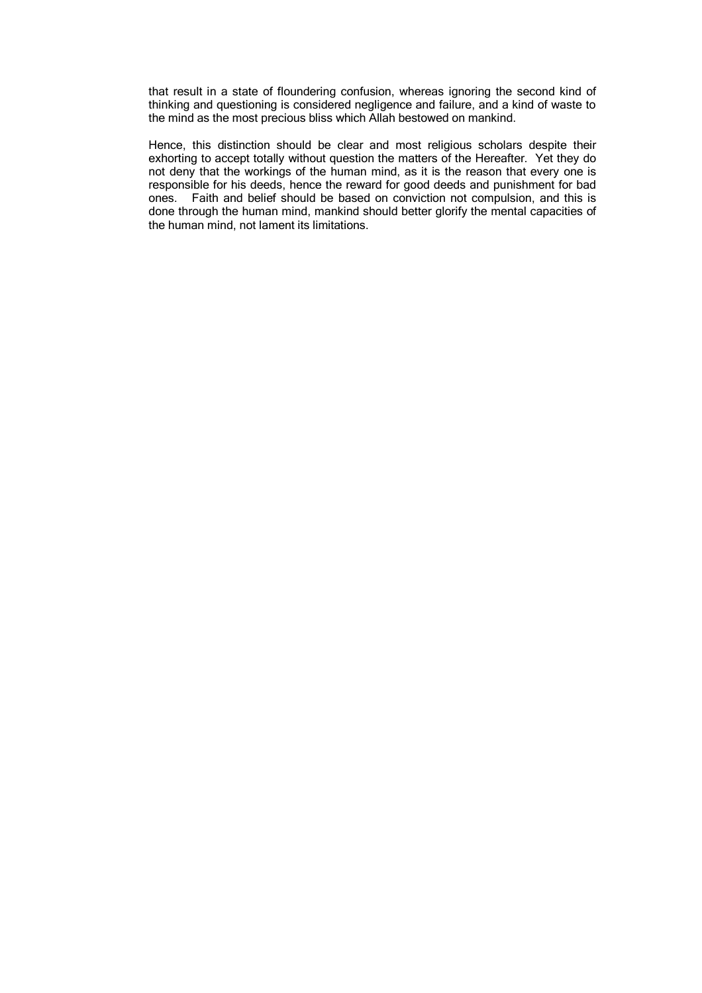that result in a state of floundering confusion, whereas ignoring the second kind of thinking and questioning is considered negligence and failure, and a kind of waste to the mind as the most precious bliss which Allah bestowed on mankind.

Hence, this distinction should be clear and most religious scholars despite their exhorting to accept totally without question the matters of the Hereafter. Yet they do not deny that the workings of the human mind, as it is the reason that every one is responsible for his deeds, hence the reward for good deeds and punishment for bad ones. Faith and belief should be based on conviction not compulsion, and this is done through the human mind, mankind should better glorify the mental capacities of the human mind, not lament its limitations.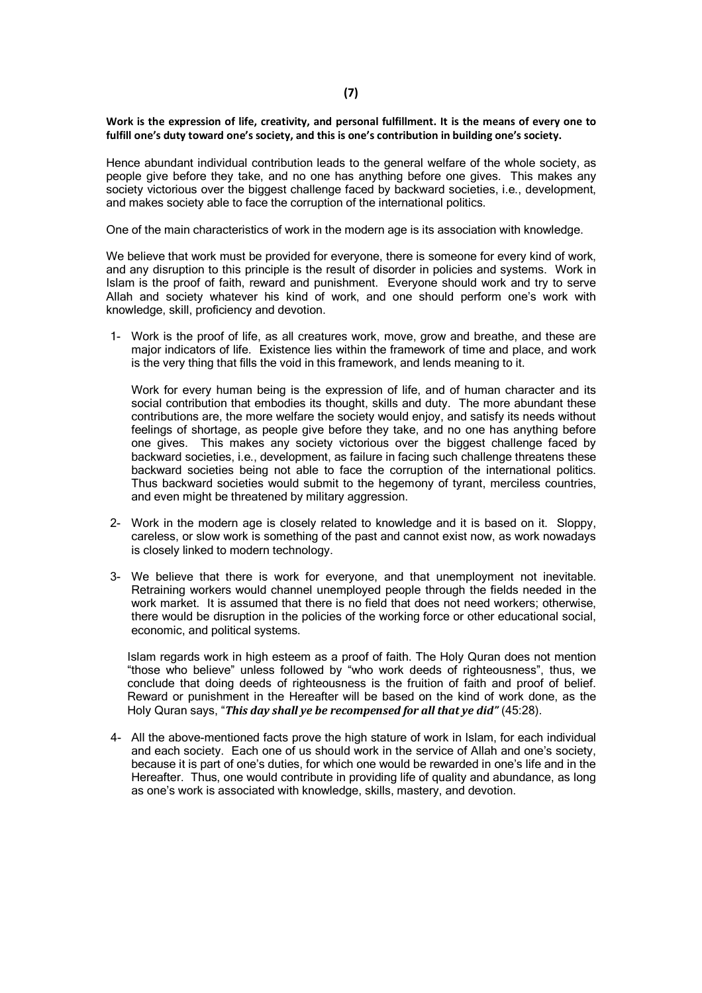#### **Work is the expression of life, creativity, and personal fulfillment. It is the means of every one to fulfill one's duty toward one's society, and this is one's contribution in building one's society.**

Hence abundant individual contribution leads to the general welfare of the whole society, as people give before they take, and no one has anything before one gives. This makes any society victorious over the biggest challenge faced by backward societies, i.e., development, and makes society able to face the corruption of the international politics.

One of the main characteristics of work in the modern age is its association with knowledge.

We believe that work must be provided for everyone, there is someone for every kind of work, and any disruption to this principle is the result of disorder in policies and systems. Work in Islam is the proof of faith, reward and punishment. Everyone should work and try to serve Allah and society whatever his kind of work, and one should perform one's work with knowledge, skill, proficiency and devotion.

1- Work is the proof of life, as all creatures work, move, grow and breathe, and these are major indicators of life. Existence lies within the framework of time and place, and work is the very thing that fills the void in this framework, and lends meaning to it.

Work for every human being is the expression of life, and of human character and its social contribution that embodies its thought, skills and duty. The more abundant these contributions are, the more welfare the society would enjoy, and satisfy its needs without feelings of shortage, as people give before they take, and no one has anything before one gives. This makes any society victorious over the biggest challenge faced by backward societies, i.e., development, as failure in facing such challenge threatens these backward societies being not able to face the corruption of the international politics. Thus backward societies would submit to the hegemony of tyrant, merciless countries, and even might be threatened by military aggression.

- 2- Work in the modern age is closely related to knowledge and it is based on it. Sloppy, careless, or slow work is something of the past and cannot exist now, as work nowadays is closely linked to modern technology.
- 3- We believe that there is work for everyone, and that unemployment not inevitable. Retraining workers would channel unemployed people through the fields needed in the work market. It is assumed that there is no field that does not need workers; otherwise, there would be disruption in the policies of the working force or other educational social, economic, and political systems.

Islam regards work in high esteem as a proof of faith. The Holy Quran does not mention "those who believe" unless followed by "who work deeds of righteousness", thus, we conclude that doing deeds of righteousness is the fruition of faith and proof of belief. Reward or punishment in the Hereafter will be based on the kind of work done, as the Holy Quran says, "*This day shall ye be recompensed for all that ye did"* (45:28).

4- All the above-mentioned facts prove the high stature of work in Islam, for each individual and each society. Each one of us should work in the service of Allah and one's society, because it is part of one's duties, for which one would be rewarded in one's life and in the Hereafter. Thus, one would contribute in providing life of quality and abundance, as long as one's work is associated with knowledge, skills, mastery, and devotion.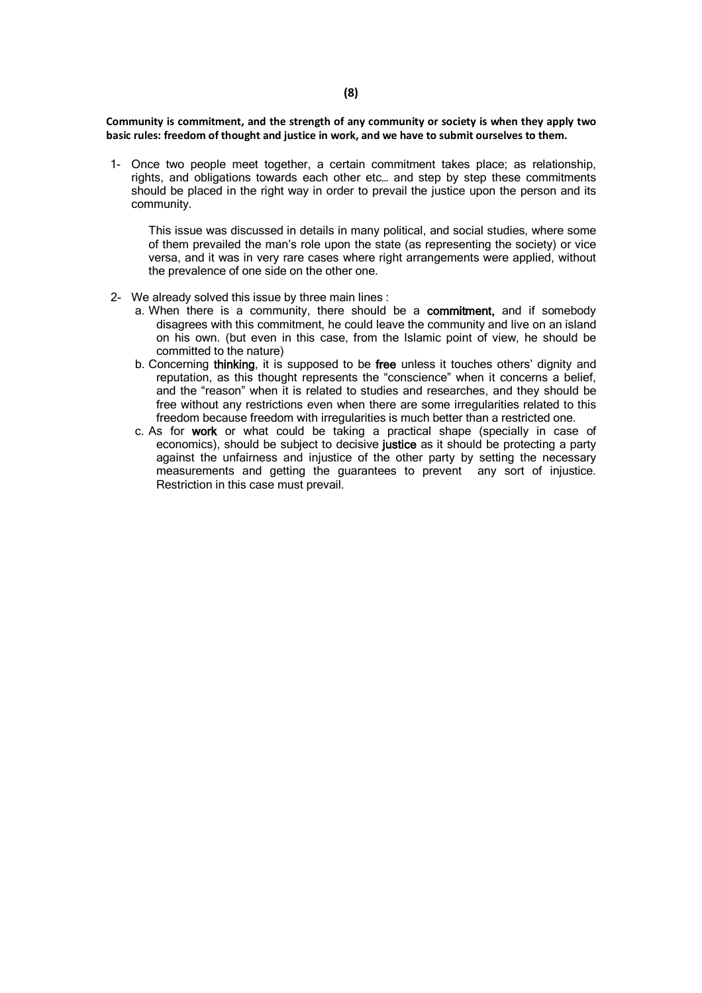**Community is commitment, and the strength of any community or society is when they apply two basic rules: freedom of thought and justice in work, and we have to submit ourselves to them.**

1- Once two people meet together, a certain commitment takes place; as relationship, rights, and obligations towards each other etc… and step by step these commitments should be placed in the right way in order to prevail the justice upon the person and its community.

This issue was discussed in details in many political, and social studies, where some of them prevailed the man's role upon the state (as representing the society) or vice versa, and it was in very rare cases where right arrangements were applied, without the prevalence of one side on the other one.

- 2- We already solved this issue by three main lines :
	- a. When there is a community, there should be a **commitment,** and if somebody disagrees with this commitment, he could leave the community and live on an island on his own. (but even in this case, from the Islamic point of view, he should be committed to the nature)
	- b. Concerning **thinking**, it is supposed to be **free** unless it touches others' dignity and reputation, as this thought represents the "conscience" when it concerns a belief, and the "reason" when it is related to studies and researches, and they should be free without any restrictions even when there are some irregularities related to this freedom because freedom with irregularities is much better than a restricted one.
	- c. As for **work** or what could be taking a practical shape (specially in case of economics), should be subject to decisive **justice** as it should be protecting a party against the unfairness and injustice of the other party by setting the necessary measurements and getting the guarantees to prevent any sort of injustice. Restriction in this case must prevail.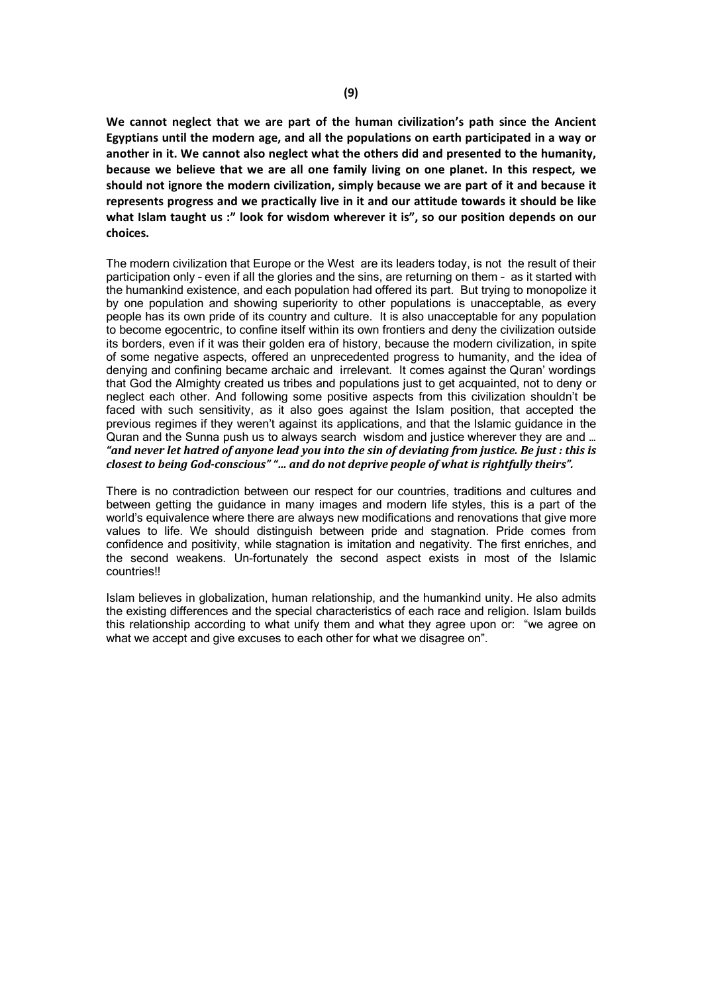**We cannot neglect that we are part of the human civilization's path since the Ancient Egyptians until the modern age, and all the populations on earth participated in a way or another in it. We cannot also neglect what the others did and presented to the humanity, because we believe that we are all one family living on one planet. In this respect, we should not ignore the modern civilization, simply because we are part of it and because it represents progress and we practically live in it and our attitude towards it should be like what Islam taught us :" look for wisdom wherever it is", so our position depends on our choices.**

The modern civilization that Europe or the West are its leaders today, is not the result of their participation only – even if all the glories and the sins, are returning on them – as it started with the humankind existence, and each population had offered its part. But trying to monopolize it by one population and showing superiority to other populations is unacceptable, as every people has its own pride of its country and culture. It is also unacceptable for any population to become egocentric, to confine itself within its own frontiers and deny the civilization outside its borders, even if it was their golden era of history, because the modern civilization, in spite of some negative aspects, offered an unprecedented progress to humanity, and the idea of denying and confining became archaic and irrelevant. It comes against the Quran' wordings that God the Almighty created us tribes and populations just to get acquainted, not to deny or neglect each other. And following some positive aspects from this civilization shouldn't be faced with such sensitivity, as it also goes against the Islam position, that accepted the previous regimes if they weren't against its applications, and that the Islamic guidance in the Quran and the Sunna push us to always search wisdom and justice wherever they are and … *"and never let hatred of anyone lead you into the sin of deviating from justice. Be just : this is closest to being God-conscious" "… and do not deprive people of what is rightfully theirs".*

There is no contradiction between our respect for our countries, traditions and cultures and between getting the guidance in many images and modern life styles, this is a part of the world's equivalence where there are always new modifications and renovations that give more values to life. We should distinguish between pride and stagnation. Pride comes from confidence and positivity, while stagnation is imitation and negativity. The first enriches, and the second weakens. Un-fortunately the second aspect exists in most of the Islamic countries!!

Islam believes in globalization, human relationship, and the humankind unity. He also admits the existing differences and the special characteristics of each race and religion. Islam builds this relationship according to what unify them and what they agree upon or: "we agree on what we accept and give excuses to each other for what we disagree on".